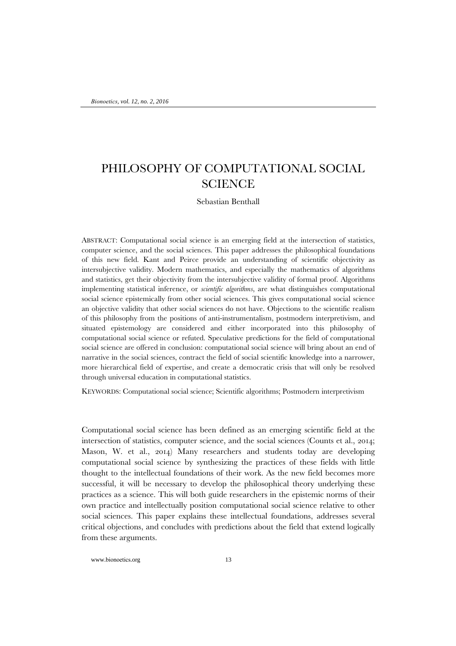# PHILOSOPHY OF COMPUTATIONAL SOCIAL **SCIENCE**

Sebastian Benthall

ABSTRACT: Computational social science is an emerging field at the intersection of statistics, computer science, and the social sciences. This paper addresses the philosophical foundations of this new field. Kant and Peirce provide an understanding of scientific objectivity as intersubjective validity. Modern mathematics, and especially the mathematics of algorithms and statistics, get their objectivity from the intersubjective validity of formal proof. Algorithms implementing statistical inference, or *scientific algorithms*, are what distinguishes computational social science epistemically from other social sciences. This gives computational social science an objective validity that other social sciences do not have. Objections to the scientific realism of this philosophy from the positions of anti-instrumentalism, postmodern interpretivism, and situated epistemology are considered and either incorporated into this philosophy of computational social science or refuted. Speculative predictions for the field of computational social science are offered in conclusion: computational social science will bring about an end of narrative in the social sciences, contract the field of social scientific knowledge into a narrower, more hierarchical field of expertise, and create a democratic crisis that will only be resolved through universal education in computational statistics.

KEYWORDS: Computational social science; Scientific algorithms; Postmodern interpretivism

Computational social science has been defined as an emerging scientific field at the intersection of statistics, computer science, and the social sciences (Counts et al., 2014; Mason, W. et al., 2014) Many researchers and students today are developing computational social science by synthesizing the practices of these fields with little thought to the intellectual foundations of their work. As the new field becomes more successful, it will be necessary to develop the philosophical theory underlying these practices as a science. This will both guide researchers in the epistemic norms of their own practice and intellectually position computational social science relative to other social sciences. This paper explains these intellectual foundations, addresses several critical objections, and concludes with predictions about the field that extend logically from these arguments.

www.bionoetics.org 13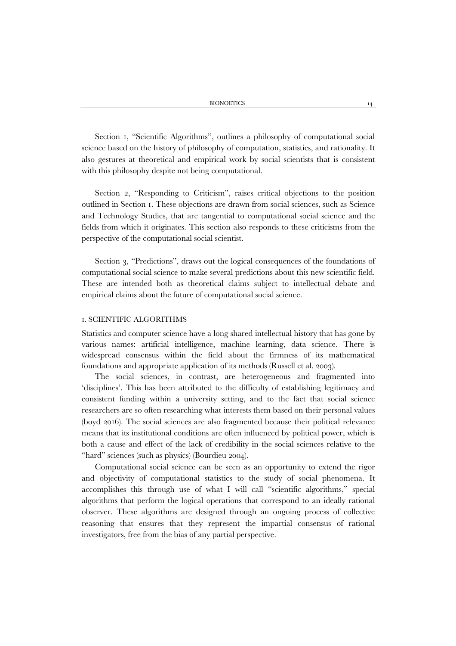Section 1, "Scientific Algorithms", outlines a philosophy of computational social science based on the history of philosophy of computation, statistics, and rationality. It also gestures at theoretical and empirical work by social scientists that is consistent with this philosophy despite not being computational.

Section 2, "Responding to Criticism", raises critical objections to the position outlined in Section 1. These objections are drawn from social sciences, such as Science and Technology Studies, that are tangential to computational social science and the fields from which it originates. This section also responds to these criticisms from the perspective of the computational social scientist.

Section 3, "Predictions", draws out the logical consequences of the foundations of computational social science to make several predictions about this new scientific field. These are intended both as theoretical claims subject to intellectual debate and empirical claims about the future of computational social science.

# 1. SCIENTIFIC ALGORITHMS

Statistics and computer science have a long shared intellectual history that has gone by various names: artificial intelligence, machine learning, data science. There is widespread consensus within the field about the firmness of its mathematical foundations and appropriate application of its methods (Russell et al. 2003).

The social sciences, in contrast, are heterogeneous and fragmented into 'disciplines'. This has been attributed to the difficulty of establishing legitimacy and consistent funding within a university setting, and to the fact that social science researchers are so often researching what interests them based on their personal values (boyd 2016). The social sciences are also fragmented because their political relevance means that its institutional conditions are often influenced by political power, which is both a cause and effect of the lack of credibility in the social sciences relative to the "hard" sciences (such as physics) (Bourdieu 2004).

Computational social science can be seen as an opportunity to extend the rigor and objectivity of computational statistics to the study of social phenomena. It accomplishes this through use of what I will call "scientific algorithms," special algorithms that perform the logical operations that correspond to an ideally rational observer. These algorithms are designed through an ongoing process of collective reasoning that ensures that they represent the impartial consensus of rational investigators, free from the bias of any partial perspective.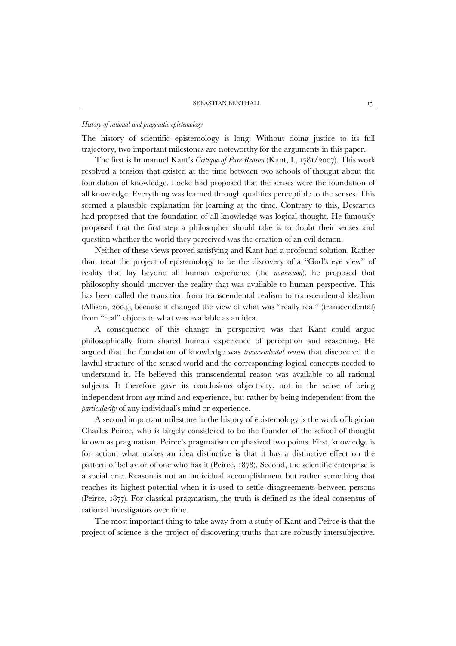## *History of rational and pragmatic epistemology*

The history of scientific epistemology is long. Without doing justice to its full trajectory, two important milestones are noteworthy for the arguments in this paper.

The first is Immanuel Kant's *Critique of Pure Reason* (Kant, I., 1781/2007). This work resolved a tension that existed at the time between two schools of thought about the foundation of knowledge. Locke had proposed that the senses were the foundation of all knowledge. Everything was learned through qualities perceptible to the senses. This seemed a plausible explanation for learning at the time. Contrary to this, Descartes had proposed that the foundation of all knowledge was logical thought. He famously proposed that the first step a philosopher should take is to doubt their senses and question whether the world they perceived was the creation of an evil demon.

Neither of these views proved satisfying and Kant had a profound solution. Rather than treat the project of epistemology to be the discovery of a "God's eye view" of reality that lay beyond all human experience (the *noumenon*), he proposed that philosophy should uncover the reality that was available to human perspective. This has been called the transition from transcendental realism to transcendental idealism (Allison, 2004), because it changed the view of what was "really real" (transcendental) from "real" objects to what was available as an idea.

A consequence of this change in perspective was that Kant could argue philosophically from shared human experience of perception and reasoning. He argued that the foundation of knowledge was *transcendental reason* that discovered the lawful structure of the sensed world and the corresponding logical concepts needed to understand it. He believed this transcendental reason was available to all rational subjects. It therefore gave its conclusions objectivity, not in the sense of being independent from *any* mind and experience, but rather by being independent from the *particularity* of any individual's mind or experience.

A second important milestone in the history of epistemology is the work of logician Charles Peirce, who is largely considered to be the founder of the school of thought known as pragmatism. Peirce's pragmatism emphasized two points. First, knowledge is for action; what makes an idea distinctive is that it has a distinctive effect on the pattern of behavior of one who has it (Peirce, 1878). Second, the scientific enterprise is a social one. Reason is not an individual accomplishment but rather something that reaches its highest potential when it is used to settle disagreements between persons (Peirce, 1877). For classical pragmatism, the truth is defined as the ideal consensus of rational investigators over time.

The most important thing to take away from a study of Kant and Peirce is that the project of science is the project of discovering truths that are robustly intersubjective.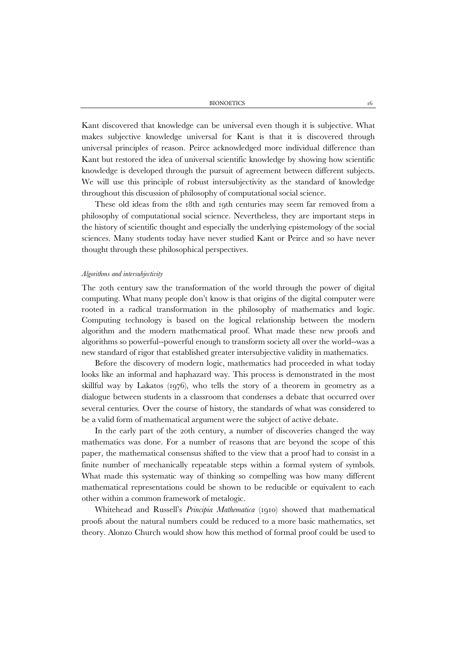Kant discovered that knowledge can be universal even though it is subjective. What makes subjective knowledge universal for Kant is that it is discovered through universal principles of reason. Peirce acknowledged more individual difference than Kant but restored the idea of universal scientific knowledge by showing how scientific knowledge is developed through the pursuit of agreement between different subjects. We will use this principle of robust intersubjectivity as the standard of knowledge throughout this discussion of philosophy of computational social science.

These old ideas from the 18th and 19th centuries may seem far removed from a philosophy of computational social science. Nevertheless, they are important steps in the history of scientific thought and especially the underlying epistemology of the social sciences. Many students today have never studied Kant or Peirce and so have never thought through these philosophical perspectives.

#### *Algorithms and intersubjectivity*

The 20th century saw the transformation of the world through the power of digital computing. What many people don't know is that origins of the digital computer were rooted in a radical transformation in the philosophy of mathematics and logic. Computing technology is based on the logical relationship between the modern algorithm and the modern mathematical proof. What made these new proofs and algorithms so powerful--powerful enough to transform society all over the world--was a new standard of rigor that established greater intersubjective validity in mathematics.

Before the discovery of modern logic, mathematics had proceeded in what today looks like an informal and haphazard way. This process is demonstrated in the most skillful way by Lakatos (1976), who tells the story of a theorem in geometry as a dialogue between students in a classroom that condenses a debate that occurred over several centuries. Over the course of history, the standards of what was considered to be a valid form of mathematical argument were the subject of active debate.

In the early part of the 20th century, a number of discoveries changed the way mathematics was done. For a number of reasons that are beyond the scope of this paper, the mathematical consensus shifted to the view that a proof had to consist in a finite number of mechanically repeatable steps within a formal system of symbols. What made this systematic way of thinking so compelling was how many different mathematical representations could be shown to be reducible or equivalent to each other within a common framework of metalogic.

Whitehead and Russell's *Principia Mathematica* (1910) showed that mathematical proofs about the natural numbers could be reduced to a more basic mathematics, set theory. Alonzo Church would show how this method of formal proof could be used to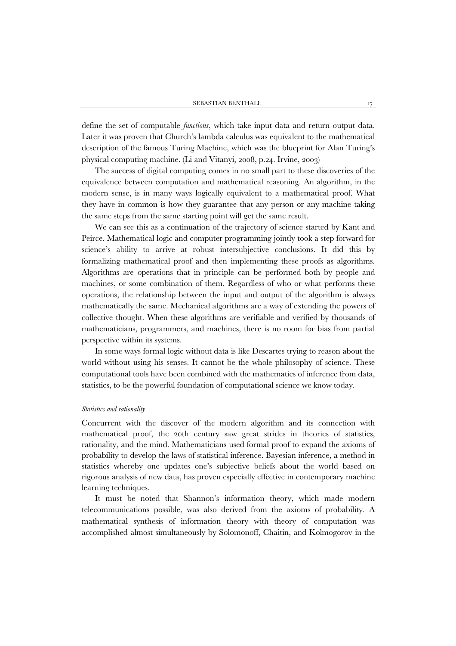define the set of computable *functions*, which take input data and return output data. Later it was proven that Church's lambda calculus was equivalent to the mathematical description of the famous Turing Machine, which was the blueprint for Alan Turing's physical computing machine. (Li and Vitanyi, 2008, p.24. Irvine, 2003)

The success of digital computing comes in no small part to these discoveries of the equivalence between computation and mathematical reasoning. An algorithm, in the modern sense, is in many ways logically equivalent to a mathematical proof. What they have in common is how they guarantee that any person or any machine taking the same steps from the same starting point will get the same result.

We can see this as a continuation of the trajectory of science started by Kant and Peirce. Mathematical logic and computer programming jointly took a step forward for science's ability to arrive at robust intersubjective conclusions. It did this by formalizing mathematical proof and then implementing these proofs as algorithms. Algorithms are operations that in principle can be performed both by people and machines, or some combination of them. Regardless of who or what performs these operations, the relationship between the input and output of the algorithm is always mathematically the same. Mechanical algorithms are a way of extending the powers of collective thought. When these algorithms are verifiable and verified by thousands of mathematicians, programmers, and machines, there is no room for bias from partial perspective within its systems.

In some ways formal logic without data is like Descartes trying to reason about the world without using his senses. It cannot be the whole philosophy of science. These computational tools have been combined with the mathematics of inference from data, statistics, to be the powerful foundation of computational science we know today.

# *Statistics and rationality*

Concurrent with the discover of the modern algorithm and its connection with mathematical proof, the 20th century saw great strides in theories of statistics, rationality, and the mind. Mathematicians used formal proof to expand the axioms of probability to develop the laws of statistical inference. Bayesian inference, a method in statistics whereby one updates one's subjective beliefs about the world based on rigorous analysis of new data, has proven especially effective in contemporary machine learning techniques.

It must be noted that Shannon's information theory, which made modern telecommunications possible, was also derived from the axioms of probability. A mathematical synthesis of information theory with theory of computation was accomplished almost simultaneously by Solomonoff, Chaitin, and Kolmogorov in the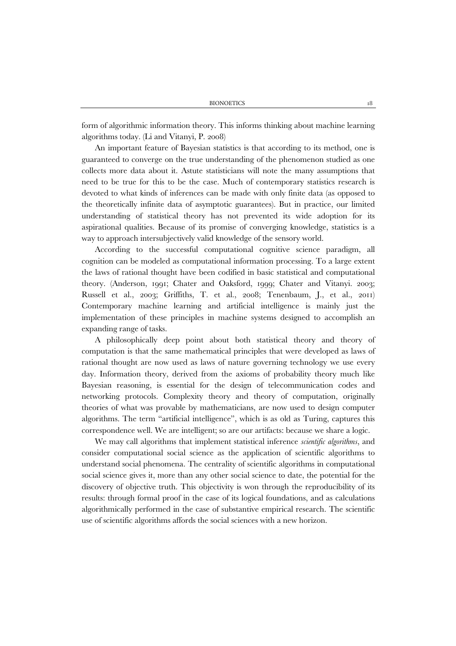form of algorithmic information theory. This informs thinking about machine learning algorithms today. (Li and Vitanyi, P. 2008)

An important feature of Bayesian statistics is that according to its method, one is guaranteed to converge on the true understanding of the phenomenon studied as one collects more data about it. Astute statisticians will note the many assumptions that need to be true for this to be the case. Much of contemporary statistics research is devoted to what kinds of inferences can be made with only finite data (as opposed to the theoretically infinite data of asymptotic guarantees). But in practice, our limited understanding of statistical theory has not prevented its wide adoption for its aspirational qualities. Because of its promise of converging knowledge, statistics is a way to approach intersubjectively valid knowledge of the sensory world.

According to the successful computational cognitive science paradigm, all cognition can be modeled as computational information processing. To a large extent the laws of rational thought have been codified in basic statistical and computational theory. (Anderson, 1991; Chater and Oaksford, 1999; Chater and Vitanyi. 2003; Russell et al., 2003; Griffiths, T. et al., 2008; Tenenbaum, J., et al., 2011) Contemporary machine learning and artificial intelligence is mainly just the implementation of these principles in machine systems designed to accomplish an expanding range of tasks.

A philosophically deep point about both statistical theory and theory of computation is that the same mathematical principles that were developed as laws of rational thought are now used as laws of nature governing technology we use every day. Information theory, derived from the axioms of probability theory much like Bayesian reasoning, is essential for the design of telecommunication codes and networking protocols. Complexity theory and theory of computation, originally theories of what was provable by mathematicians, are now used to design computer algorithms. The term "artificial intelligence", which is as old as Turing, captures this correspondence well. We are intelligent; so are our artifacts: because we share a logic.

We may call algorithms that implement statistical inference *scientific algorithms*, and consider computational social science as the application of scientific algorithms to understand social phenomena. The centrality of scientific algorithms in computational social science gives it, more than any other social science to date, the potential for the discovery of objective truth. This objectivity is won through the reproducibility of its results: through formal proof in the case of its logical foundations, and as calculations algorithmically performed in the case of substantive empirical research. The scientific use of scientific algorithms affords the social sciences with a new horizon.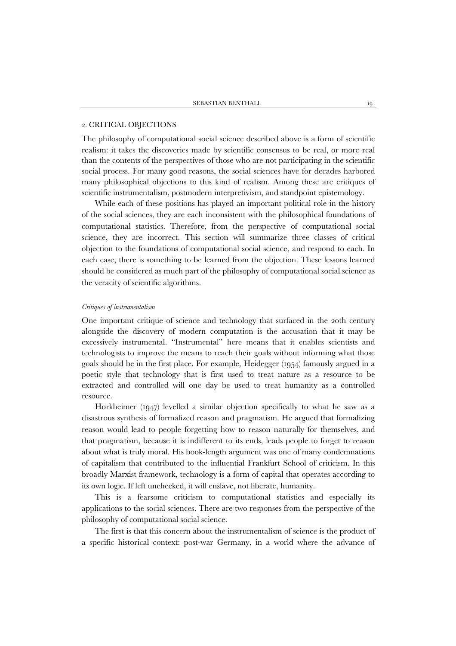## 2. CRITICAL OBJECTIONS

The philosophy of computational social science described above is a form of scientific realism: it takes the discoveries made by scientific consensus to be real, or more real than the contents of the perspectives of those who are not participating in the scientific social process. For many good reasons, the social sciences have for decades harbored many philosophical objections to this kind of realism. Among these are critiques of scientific instrumentalism, postmodern interpretivism, and standpoint epistemology.

While each of these positions has played an important political role in the history of the social sciences, they are each inconsistent with the philosophical foundations of computational statistics. Therefore, from the perspective of computational social science, they are incorrect. This section will summarize three classes of critical objection to the foundations of computational social science, and respond to each. In each case, there is something to be learned from the objection. These lessons learned should be considered as much part of the philosophy of computational social science as the veracity of scientific algorithms.

#### *Critiques of instrumentalism*

One important critique of science and technology that surfaced in the 20th century alongside the discovery of modern computation is the accusation that it may be excessively instrumental. "Instrumental" here means that it enables scientists and technologists to improve the means to reach their goals without informing what those goals should be in the first place. For example, Heidegger (1954) famously argued in a poetic style that technology that is first used to treat nature as a resource to be extracted and controlled will one day be used to treat humanity as a controlled resource.

Horkheimer (1947) levelled a similar objection specifically to what he saw as a disastrous synthesis of formalized reason and pragmatism. He argued that formalizing reason would lead to people forgetting how to reason naturally for themselves, and that pragmatism, because it is indifferent to its ends, leads people to forget to reason about what is truly moral. His book-length argument was one of many condemnations of capitalism that contributed to the influential Frankfurt School of criticism. In this broadly Marxist framework, technology is a form of capital that operates according to its own logic. If left unchecked, it will enslave, not liberate, humanity.

This is a fearsome criticism to computational statistics and especially its applications to the social sciences. There are two responses from the perspective of the philosophy of computational social science.

The first is that this concern about the instrumentalism of science is the product of a specific historical context: post-war Germany, in a world where the advance of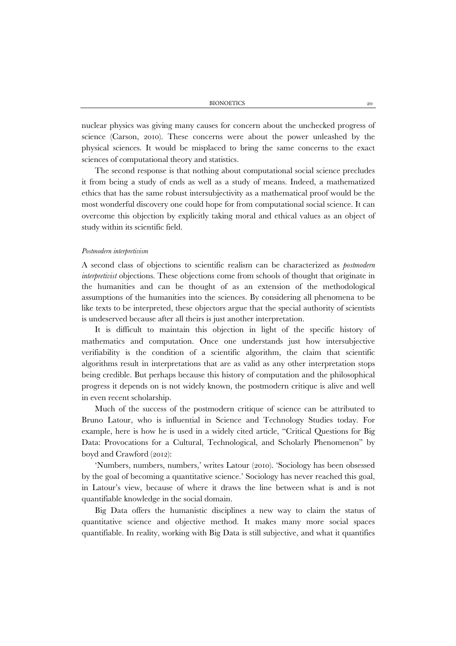nuclear physics was giving many causes for concern about the unchecked progress of science (Carson, 2010). These concerns were about the power unleashed by the physical sciences. It would be misplaced to bring the same concerns to the exact sciences of computational theory and statistics.

The second response is that nothing about computational social science precludes it from being a study of ends as well as a study of means. Indeed, a mathematized ethics that has the same robust intersubjectivity as a mathematical proof would be the most wonderful discovery one could hope for from computational social science. It can overcome this objection by explicitly taking moral and ethical values as an object of study within its scientific field.

## *Postmodern interpretivism*

A second class of objections to scientific realism can be characterized as *postmodern interpretivist* objections. These objections come from schools of thought that originate in the humanities and can be thought of as an extension of the methodological assumptions of the humanities into the sciences. By considering all phenomena to be like texts to be interpreted, these objectors argue that the special authority of scientists is undeserved because after all theirs is just another interpretation.

It is difficult to maintain this objection in light of the specific history of mathematics and computation. Once one understands just how intersubjective verifiability is the condition of a scientific algorithm, the claim that scientific algorithms result in interpretations that are as valid as any other interpretation stops being credible. But perhaps because this history of computation and the philosophical progress it depends on is not widely known, the postmodern critique is alive and well in even recent scholarship.

Much of the success of the postmodern critique of science can be attributed to Bruno Latour, who is influential in Science and Technology Studies today. For example, here is how he is used in a widely cited article, "Critical Questions for Big Data: Provocations for a Cultural, Technological, and Scholarly Phenomenon" by boyd and Crawford (2012):

'Numbers, numbers, numbers,' writes Latour (2010). 'Sociology has been obsessed by the goal of becoming a quantitative science.' Sociology has never reached this goal, in Latour's view, because of where it draws the line between what is and is not quantifiable knowledge in the social domain.

Big Data offers the humanistic disciplines a new way to claim the status of quantitative science and objective method. It makes many more social spaces quantifiable. In reality, working with Big Data is still subjective, and what it quantifies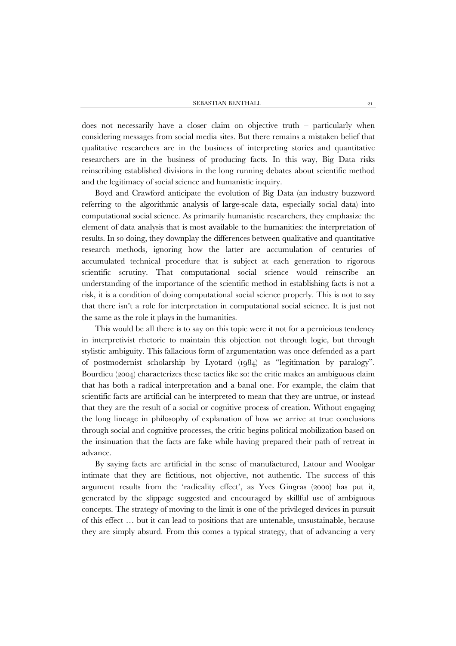does not necessarily have a closer claim on objective truth – particularly when considering messages from social media sites. But there remains a mistaken belief that qualitative researchers are in the business of interpreting stories and quantitative researchers are in the business of producing facts. In this way, Big Data risks reinscribing established divisions in the long running debates about scientific method and the legitimacy of social science and humanistic inquiry.

Boyd and Crawford anticipate the evolution of Big Data (an industry buzzword referring to the algorithmic analysis of large-scale data, especially social data) into computational social science. As primarily humanistic researchers, they emphasize the element of data analysis that is most available to the humanities: the interpretation of results. In so doing, they downplay the differences between qualitative and quantitative research methods, ignoring how the latter are accumulation of centuries of accumulated technical procedure that is subject at each generation to rigorous scientific scrutiny. That computational social science would reinscribe an understanding of the importance of the scientific method in establishing facts is not a risk, it is a condition of doing computational social science properly. This is not to say that there isn't a role for interpretation in computational social science. It is just not the same as the role it plays in the humanities.

This would be all there is to say on this topic were it not for a pernicious tendency in interpretivist rhetoric to maintain this objection not through logic, but through stylistic ambiguity. This fallacious form of argumentation was once defended as a part of postmodernist scholarship by Lyotard (1984) as "legitimation by paralogy". Bourdieu (2004) characterizes these tactics like so: the critic makes an ambiguous claim that has both a radical interpretation and a banal one. For example, the claim that scientific facts are artificial can be interpreted to mean that they are untrue, or instead that they are the result of a social or cognitive process of creation. Without engaging the long lineage in philosophy of explanation of how we arrive at true conclusions through social and cognitive processes, the critic begins political mobilization based on the insinuation that the facts are fake while having prepared their path of retreat in advance.

By saying facts are artificial in the sense of manufactured, Latour and Woolgar intimate that they are fictitious, not objective, not authentic. The success of this argument results from the 'radicality effect', as Yves Gingras (2000) has put it, generated by the slippage suggested and encouraged by skillful use of ambiguous concepts. The strategy of moving to the limit is one of the privileged devices in pursuit of this effect … but it can lead to positions that are untenable, unsustainable, because they are simply absurd. From this comes a typical strategy, that of advancing a very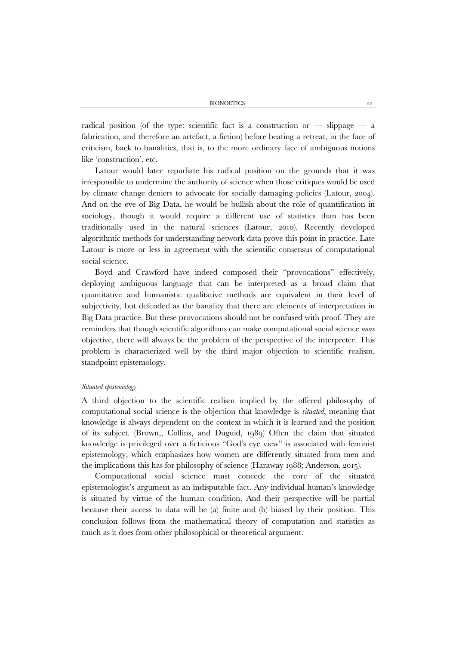BIONOETICS 22

radical position (of the type: scientific fact is a construction or  $-$  slippage  $-$  a fabrication, and therefore an artefact, a fiction) before beating a retreat, in the face of criticism, back to banalities, that is, to the more ordinary face of ambiguous notions like 'construction', etc.

Latour would later repudiate his radical position on the grounds that it was irresponsible to undermine the authority of science when those critiques would be used by climate change deniers to advocate for socially damaging policies (Latour, 2004). And on the eve of Big Data, he would be bullish about the role of quantification in sociology, though it would require a different use of statistics than has been traditionally used in the natural sciences (Latour, 2010). Recently developed algorithmic methods for understanding network data prove this point in practice. Late Latour is more or less in agreement with the scientific consensus of computational social science.

Boyd and Crawford have indeed composed their "provocations" effectively, deploying ambiguous language that can be interpreted as a broad claim that quantitative and humanistic qualitative methods are equivalent in their level of subjectivity, but defended as the banality that there are elements of interpretation in Big Data practice. But these provocations should not be confused with proof. They are reminders that though scientific algorithms can make computational social science *more* objective, there will always be the problem of the perspective of the interpreter. This problem is characterized well by the third major objection to scientific realism, standpoint epistemology.

#### *Situated epistemology*

A third objection to the scientific realism implied by the offered philosophy of computational social science is the objection that knowledge is *situated*, meaning that knowledge is always dependent on the context in which it is learned and the position of its subject. (Brown,, Collins, and Duguid, 1989) Often the claim that situated knowledge is privileged over a ficticious "God's eye view" is associated with feminist epistemology, which emphasizes how women are differently situated from men and the implications this has for philosophy of science (Haraway 1988; Anderson, 2015).

Computational social science must concede the core of the situated epistemologist's argument as an indisputable fact. Any individual human's knowledge is situated by virtue of the human condition. And their perspective will be partial because their access to data will be (a) finite and (b) biased by their position. This conclusion follows from the mathematical theory of computation and statistics as much as it does from other philosophical or theoretical argument.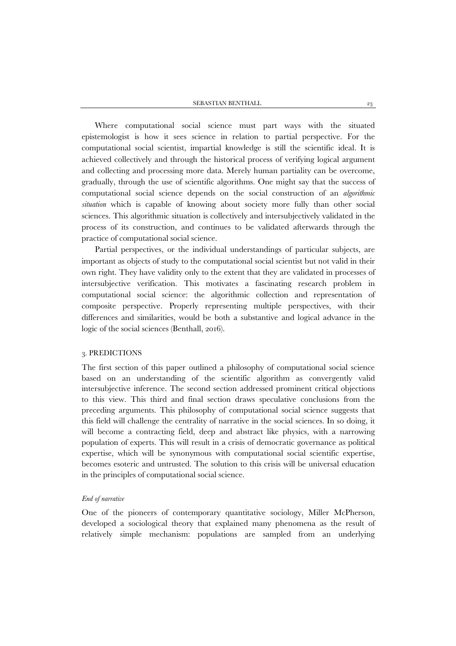Where computational social science must part ways with the situated epistemologist is how it sees science in relation to partial perspective. For the computational social scientist, impartial knowledge is still the scientific ideal. It is achieved collectively and through the historical process of verifying logical argument and collecting and processing more data. Merely human partiality can be overcome, gradually, through the use of scientific algorithms. One might say that the success of computational social science depends on the social construction of an *algorithmic situation* which is capable of knowing about society more fully than other social sciences. This algorithmic situation is collectively and intersubjectively validated in the process of its construction, and continues to be validated afterwards through the practice of computational social science.

Partial perspectives, or the individual understandings of particular subjects, are important as objects of study to the computational social scientist but not valid in their own right. They have validity only to the extent that they are validated in processes of intersubjective verification. This motivates a fascinating research problem in computational social science: the algorithmic collection and representation of composite perspective. Properly representing multiple perspectives, with their differences and similarities, would be both a substantive and logical advance in the logic of the social sciences (Benthall, 2016).

# 3. PREDICTIONS

The first section of this paper outlined a philosophy of computational social science based on an understanding of the scientific algorithm as convergently valid intersubjective inference. The second section addressed prominent critical objections to this view. This third and final section draws speculative conclusions from the preceding arguments. This philosophy of computational social science suggests that this field will challenge the centrality of narrative in the social sciences. In so doing, it will become a contracting field, deep and abstract like physics, with a narrowing population of experts. This will result in a crisis of democratic governance as political expertise, which will be synonymous with computational social scientific expertise, becomes esoteric and untrusted. The solution to this crisis will be universal education in the principles of computational social science.

#### *End of narrative*

One of the pioneers of contemporary quantitative sociology, Miller McPherson, developed a sociological theory that explained many phenomena as the result of relatively simple mechanism: populations are sampled from an underlying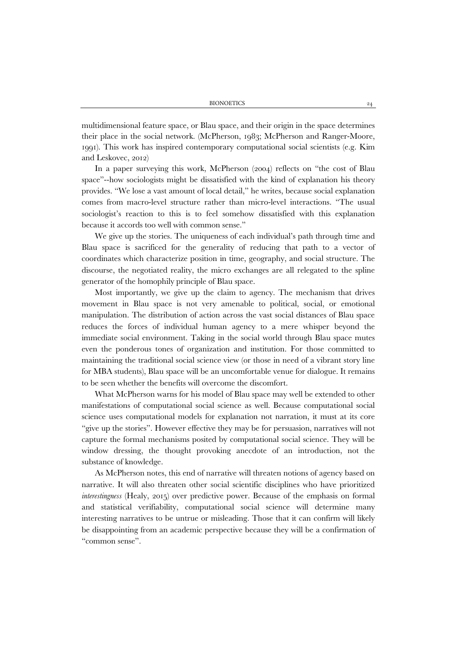multidimensional feature space, or Blau space, and their origin in the space determines their place in the social network. (McPherson, 1983; McPherson and Ranger-Moore, 1991). This work has inspired contemporary computational social scientists (e.g. Kim and Leskovec, 2012)

In a paper surveying this work, McPherson (2004) reflects on "the cost of Blau space"--how sociologists might be dissatisfied with the kind of explanation his theory provides. "We lose a vast amount of local detail," he writes, because social explanation comes from macro-level structure rather than micro-level interactions. "The usual sociologist's reaction to this is to feel somehow dissatisfied with this explanation because it accords too well with common sense."

We give up the stories. The uniqueness of each individual's path through time and Blau space is sacrificed for the generality of reducing that path to a vector of coordinates which characterize position in time, geography, and social structure. The discourse, the negotiated reality, the micro exchanges are all relegated to the spline generator of the homophily principle of Blau space.

Most importantly, we give up the claim to agency. The mechanism that drives movement in Blau space is not very amenable to political, social, or emotional manipulation. The distribution of action across the vast social distances of Blau space reduces the forces of individual human agency to a mere whisper beyond the immediate social environment. Taking in the social world through Blau space mutes even the ponderous tones of organization and institution. For those committed to maintaining the traditional social science view (or those in need of a vibrant story line for MBA students), Blau space will be an uncomfortable venue for dialogue. It remains to be seen whether the benefits will overcome the discomfort.

What McPherson warns for his model of Blau space may well be extended to other manifestations of computational social science as well. Because computational social science uses computational models for explanation not narration, it must at its core "give up the stories". However effective they may be for persuasion, narratives will not capture the formal mechanisms posited by computational social science. They will be window dressing, the thought provoking anecdote of an introduction, not the substance of knowledge.

As McPherson notes, this end of narrative will threaten notions of agency based on narrative. It will also threaten other social scientific disciplines who have prioritized *interestingness* (Healy, 2015) over predictive power. Because of the emphasis on formal and statistical verifiability, computational social science will determine many interesting narratives to be untrue or misleading. Those that it can confirm will likely be disappointing from an academic perspective because they will be a confirmation of "common sense".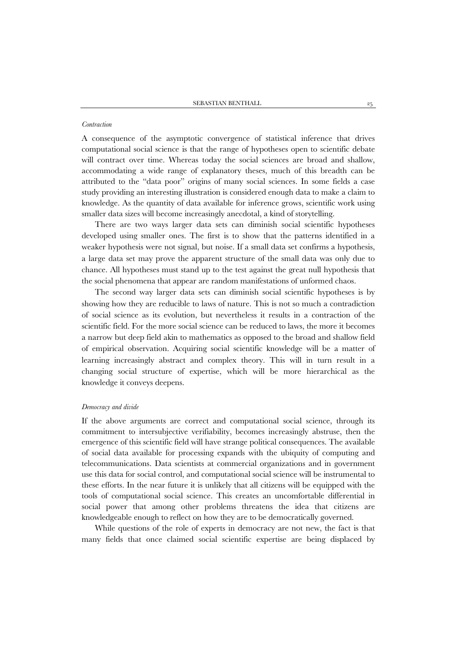#### *Contraction*

A consequence of the asymptotic convergence of statistical inference that drives computational social science is that the range of hypotheses open to scientific debate will contract over time. Whereas today the social sciences are broad and shallow, accommodating a wide range of explanatory theses, much of this breadth can be attributed to the "data poor" origins of many social sciences. In some fields a case study providing an interesting illustration is considered enough data to make a claim to knowledge. As the quantity of data available for inference grows, scientific work using smaller data sizes will become increasingly anecdotal, a kind of storytelling.

There are two ways larger data sets can diminish social scientific hypotheses developed using smaller ones. The first is to show that the patterns identified in a weaker hypothesis were not signal, but noise. If a small data set confirms a hypothesis, a large data set may prove the apparent structure of the small data was only due to chance. All hypotheses must stand up to the test against the great null hypothesis that the social phenomena that appear are random manifestations of unformed chaos.

The second way larger data sets can diminish social scientific hypotheses is by showing how they are reducible to laws of nature. This is not so much a contradiction of social science as its evolution, but nevertheless it results in a contraction of the scientific field. For the more social science can be reduced to laws, the more it becomes a narrow but deep field akin to mathematics as opposed to the broad and shallow field of empirical observation. Acquiring social scientific knowledge will be a matter of learning increasingly abstract and complex theory. This will in turn result in a changing social structure of expertise, which will be more hierarchical as the knowledge it conveys deepens.

# *Democracy and divide*

If the above arguments are correct and computational social science, through its commitment to intersubjective verifiability, becomes increasingly abstruse, then the emergence of this scientific field will have strange political consequences. The available of social data available for processing expands with the ubiquity of computing and telecommunications. Data scientists at commercial organizations and in government use this data for social control, and computational social science will be instrumental to these efforts. In the near future it is unlikely that all citizens will be equipped with the tools of computational social science. This creates an uncomfortable differential in social power that among other problems threatens the idea that citizens are knowledgeable enough to reflect on how they are to be democratically governed.

While questions of the role of experts in democracy are not new, the fact is that many fields that once claimed social scientific expertise are being displaced by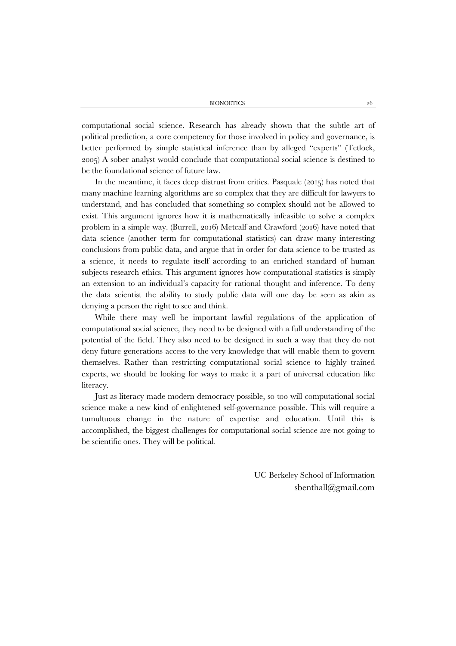computational social science. Research has already shown that the subtle art of political prediction, a core competency for those involved in policy and governance, is better performed by simple statistical inference than by alleged "experts" (Tetlock, 2005) A sober analyst would conclude that computational social science is destined to be the foundational science of future law.

In the meantime, it faces deep distrust from critics. Pasquale (2015) has noted that many machine learning algorithms are so complex that they are difficult for lawyers to understand, and has concluded that something so complex should not be allowed to exist. This argument ignores how it is mathematically infeasible to solve a complex problem in a simple way. (Burrell, 2016) Metcalf and Crawford (2016) have noted that data science (another term for computational statistics) can draw many interesting conclusions from public data, and argue that in order for data science to be trusted as a science, it needs to regulate itself according to an enriched standard of human subjects research ethics. This argument ignores how computational statistics is simply an extension to an individual's capacity for rational thought and inference. To deny the data scientist the ability to study public data will one day be seen as akin as denying a person the right to see and think.

While there may well be important lawful regulations of the application of computational social science, they need to be designed with a full understanding of the potential of the field. They also need to be designed in such a way that they do not deny future generations access to the very knowledge that will enable them to govern themselves. Rather than restricting computational social science to highly trained experts, we should be looking for ways to make it a part of universal education like literacy.

Just as literacy made modern democracy possible, so too will computational social science make a new kind of enlightened self-governance possible. This will require a tumultuous change in the nature of expertise and education. Until this is accomplished, the biggest challenges for computational social science are not going to be scientific ones. They will be political.

> UC Berkeley School of Information sbenthall@gmail.com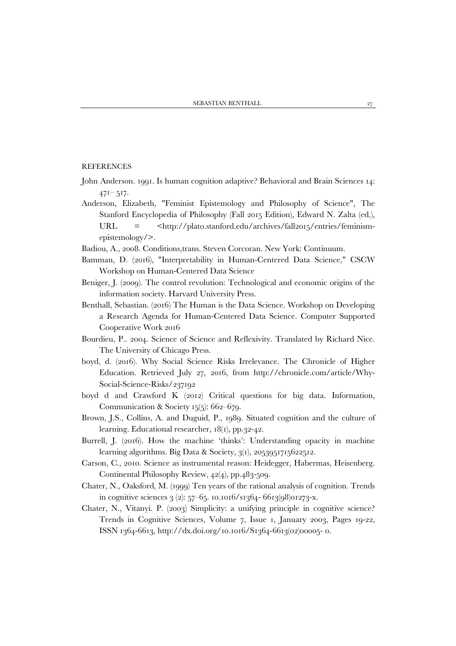## **REFERENCES**

- John Anderson. 1991. Is human cognition adaptive? Behavioral and Brain Sciences 14:  $471 - 517$ .
- Anderson, Elizabeth, "Feminist Epistemology and Philosophy of Science", The Stanford Encyclopedia of Philosophy (Fall 2015 Edition), Edward N. Zalta (ed.), URL = <http://plato.stanford.edu/archives/fall2015/entries/feminismepistemology/>.
- Badiou, A., 2008. Conditions,trans. Steven Corcoran. New York: Continuum.
- Bamman, D. (2016), "Interpretability in Human-Centered Data Science," CSCW Workshop on Human-Centered Data Science
- Beniger, J. (2009). The control revolution: Technological and economic origins of the information society. Harvard University Press.
- Benthall, Sebastian. (2016) The Human is the Data Science. Workshop on Developing a Research Agenda for Human-Centered Data Science. Computer Supported Cooperative Work 2016
- Bourdieu, P.. 2004. Science of Science and Reflexivity. Translated by Richard Nice. The University of Chicago Press.
- boyd, d. (2016). Why Social Science Risks Irrelevance. The Chronicle of Higher Education. Retrieved July 27, 2016, from http://chronicle.com/article/Why-Social-Science-Risks/237192
- boyd d and Crawford K (2012) Critical questions for big data. Information, Communication & Society 15(5): 662–679.
- Brown, J.S., Collins, A. and Duguid, P., 1989. Situated cognition and the culture of learning. Educational researcher,  $18(1)$ , pp. 32-42.
- Burrell, J. (2016). How the machine 'thinks': Understanding opacity in machine learning algorithms. Big Data & Society, 3(1), 2053951715622512.
- Carson, C., 2010. Science as instrumental reason: Heidegger, Habermas, Heisenberg. Continental Philosophy Review, 42(4), pp.483-509.
- Chater, N., Oaksford, M. (1999) Ten years of the rational analysis of cognition. Trends in cognitive sciences  $3(2)$ : 57–65. 10.1016/s1364- 6613(98)01273-x.
- Chater, N., Vitanyi. P. (2003) Simplicity: a unifying principle in cognitive science? Trends in Cognitive Sciences, Volume 7, Issue 1, January 2003, Pages 19-22, ISSN 1364-6613, http://dx.doi.org/10.1016/S1364-6613(02)00005- 0.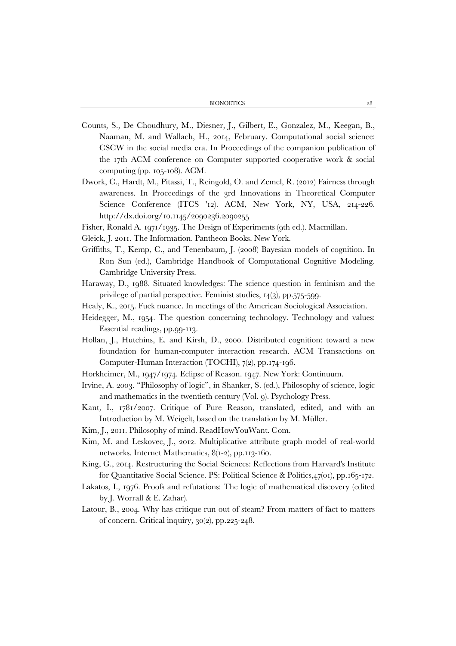- Counts, S., De Choudhury, M., Diesner, J., Gilbert, E., Gonzalez, M., Keegan, B., Naaman, M. and Wallach, H., 2014, February. Computational social science: CSCW in the social media era. In Proceedings of the companion publication of the 17th ACM conference on Computer supported cooperative work & social computing (pp. 105-108). ACM.
- Dwork, C., Hardt, M., Pitassi, T., Reingold, O. and Zemel, R. (2012) Fairness through awareness. In Proceedings of the 3rd Innovations in Theoretical Computer Science Conference (ITCS '12). ACM, New York, NY, USA, 214-226. http://dx.doi.org/10.1145/2090236.2090255
- Fisher, Ronald A. 1971/1935. The Design of Experiments (9th ed.). Macmillan.
- Gleick, J. 2011. The Information. Pantheon Books. New York.
- Griffiths, T., Kemp, C., and Tenenbaum, J. (2008) Bayesian models of cognition. In Ron Sun (ed.), Cambridge Handbook of Computational Cognitive Modeling. Cambridge University Press.
- Haraway, D., 1988. Situated knowledges: The science question in feminism and the privilege of partial perspective. Feminist studies, 14(3), pp.575-599.
- Healy, K., 2015. Fuck nuance. In meetings of the American Sociological Association.
- Heidegger, M., 1954. The question concerning technology. Technology and values: Essential readings, pp.99-113.
- Hollan, J., Hutchins, E. and Kirsh, D., 2000. Distributed cognition: toward a new foundation for human-computer interaction research. ACM Transactions on Computer-Human Interaction (TOCHI), 7(2), pp.174-196.
- Horkheimer, M., 1947/1974. Eclipse of Reason. 1947. New York: Continuum.
- Irvine, A. 2003. "Philosophy of logic", in Shanker, S. (ed.), Philosophy of science, logic and mathematics in the twentieth century (Vol. 9). Psychology Press.
- Kant, I., 1781/2007. Critique of Pure Reason, translated, edited, and with an Introduction by M. Weigelt, based on the translation by M. Müller.
- Kim, J., 2011. Philosophy of mind. ReadHowYouWant. Com.
- Kim, M. and Leskovec, J., 2012. Multiplicative attribute graph model of real-world networks. Internet Mathematics, 8(1-2), pp.113-160.
- King, G., 2014. Restructuring the Social Sciences: Reflections from Harvard's Institute for Quantitative Social Science. PS: Political Science & Politics,47(01), pp.165-172.
- Lakatos, I., 1976. Proofs and refutations: The logic of mathematical discovery (edited by J. Worrall & E. Zahar).
- Latour, B., 2004. Why has critique run out of steam? From matters of fact to matters of concern. Critical inquiry, 30(2), pp.225-248.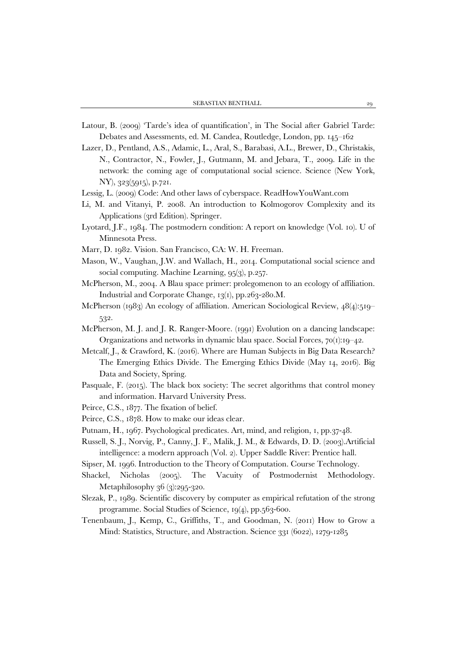- Latour, B. (2009) 'Tarde's idea of quantification', in The Social after Gabriel Tarde: Debates and Assessments, ed. M. Candea, Routledge, London, pp. 145–162
- Lazer, D., Pentland, A.S., Adamic, L., Aral, S., Barabasi, A.L., Brewer, D., Christakis, N., Contractor, N., Fowler, J., Gutmann, M. and Jebara, T., 2009. Life in the network: the coming age of computational social science. Science (New York, NY), 323(5915), p.721.
- Lessig, L. (2009) Code: And other laws of cyberspace. ReadHowYouWant.com
- Li, M. and Vitanyi, P. 2008. An introduction to Kolmogorov Complexity and its Applications (3rd Edition). Springer.
- Lyotard, J.F., 1984. The postmodern condition: A report on knowledge (Vol. 10). U of Minnesota Press.
- Marr, D. 1982. Vision. San Francisco, CA: W. H. Freeman.
- Mason, W., Vaughan, J.W. and Wallach, H., 2014. Computational social science and social computing. Machine Learning, 95(3), p.257.
- McPherson, M., 2004. A Blau space primer: prolegomenon to an ecology of affiliation. Industrial and Corporate Change, 13(1), pp.263-280.M.
- McPherson (1983) An ecology of affiliation. American Sociological Review, 48(4):519– 532.
- McPherson, M. J. and J. R. Ranger-Moore. (1991) Evolution on a dancing landscape: Organizations and networks in dynamic blau space. Social Forces, 70(1):19–42.
- Metcalf, J., & Crawford, K. (2016). Where are Human Subjects in Big Data Research? The Emerging Ethics Divide. The Emerging Ethics Divide (May 14, 2016). Big Data and Society, Spring.
- Pasquale, F. (2015). The black box society: The secret algorithms that control money and information. Harvard University Press.
- Peirce, C.S., 1877. The fixation of belief.
- Peirce, C.S., 1878. How to make our ideas clear.
- Putnam, H., 1967. Psychological predicates. Art, mind, and religion, 1, pp.37-48.
- Russell, S. J., Norvig, P., Canny, J. F., Malik, J. M., & Edwards, D. D. (2003).Artificial intelligence: a modern approach (Vol. 2). Upper Saddle River: Prentice hall.
- Sipser, M. 1996. Introduction to the Theory of Computation. Course Technology.
- Shackel, Nicholas (2005). The Vacuity of Postmodernist Methodology. Metaphilosophy 36 (3):295-320.
- Slezak, P., 1989. Scientific discovery by computer as empirical refutation of the strong programme. Social Studies of Science, 19(4), pp.563-600.
- Tenenbaum, J., Kemp, C., Griffiths, T., and Goodman, N. (2011) How to Grow a Mind: Statistics, Structure, and Abstraction. Science 331 (6022), 1279-1285